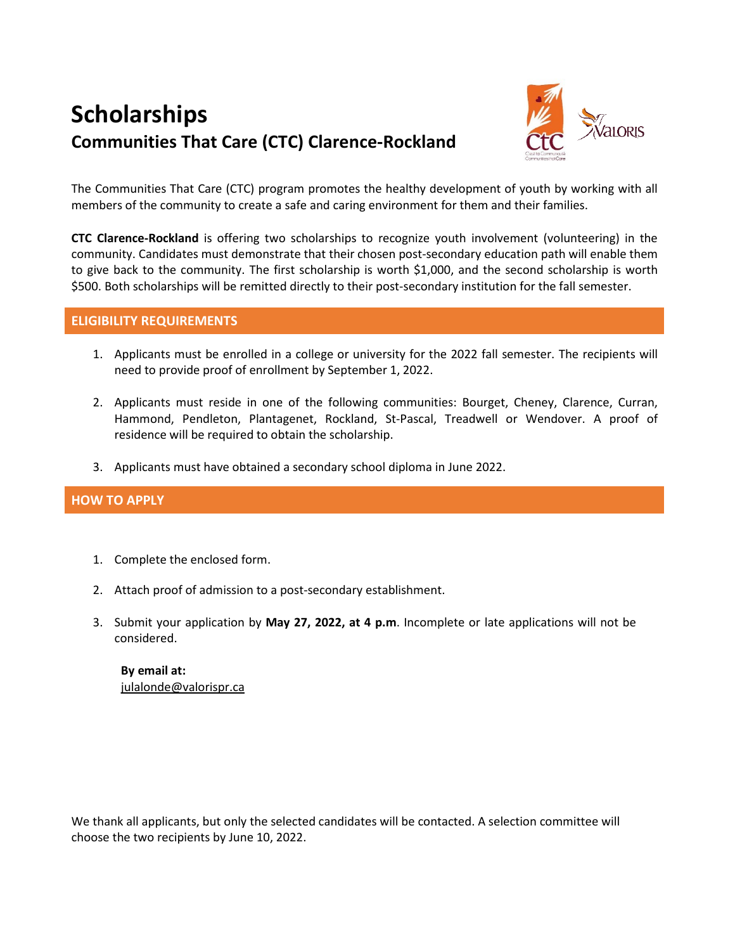# **Scholarships Communities That Care (CTC) Clarence-Rockland**



The Communities That Care (CTC) program promotes the healthy development of youth by working with all members of the community to create a safe and caring environment for them and their families.

**CTC Clarence-Rockland** is offering two scholarships to recognize youth involvement (volunteering) in the community. Candidates must demonstrate that their chosen post-secondary education path will enable them to give back to the community. The first scholarship is worth \$1,000, and the second scholarship is worth \$500. Both scholarships will be remitted directly to their post-secondary institution for the fall semester.

#### **ELIGIBILITY REQUIREMENTS**

- 1. Applicants must be enrolled in a college or university for the 2022 fall semester. The recipients will need to provide proof of enrollment by September 1, 2022.
- 2. Applicants must reside in one of the following communities: Bourget, Cheney, Clarence, Curran, Hammond, Pendleton, Plantagenet, Rockland, St-Pascal, Treadwell or Wendover. A proof of residence will be required to obtain the scholarship.
- 3. Applicants must have obtained a secondary school diploma in June 2022.

#### **HOW TO APPLY**

- 1. Complete the enclosed form.
- 2. Attach proof of admission to a post-secondary establishment.
- 3. Submit your application by **May 27, 2022, at 4 p.m**. Incomplete or late applications will not be considered.

**By email at:** [julalonde@valorispr.ca](mailto:julalonde@valorispr.ca)

We thank all applicants, but only the selected candidates will be contacted. A selection committee will choose the two recipients by June 10, 2022.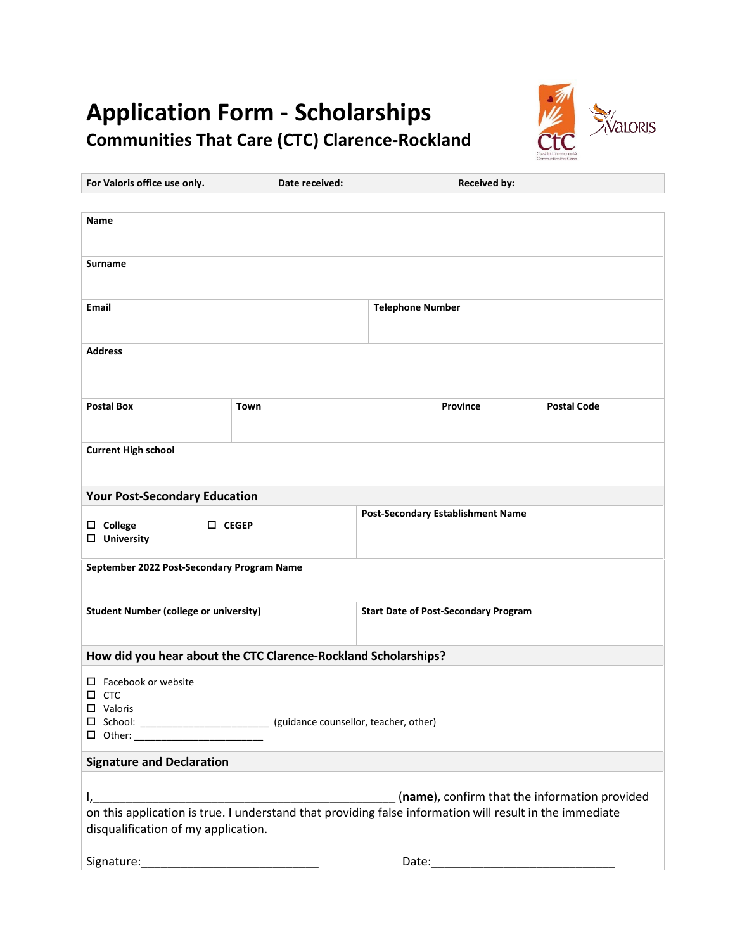## **Application Form - Scholarships Communities That Care (CTC) Clarence-Rockland**



| For Valoris office use only.                                                                            | Date received:                                                                                                       |                         | <b>Received by:</b>                      |                    |  |
|---------------------------------------------------------------------------------------------------------|----------------------------------------------------------------------------------------------------------------------|-------------------------|------------------------------------------|--------------------|--|
|                                                                                                         |                                                                                                                      |                         |                                          |                    |  |
| <b>Name</b>                                                                                             |                                                                                                                      |                         |                                          |                    |  |
|                                                                                                         |                                                                                                                      |                         |                                          |                    |  |
| <b>Surname</b>                                                                                          |                                                                                                                      |                         |                                          |                    |  |
|                                                                                                         |                                                                                                                      |                         |                                          |                    |  |
| Email                                                                                                   |                                                                                                                      | <b>Telephone Number</b> |                                          |                    |  |
|                                                                                                         |                                                                                                                      |                         |                                          |                    |  |
| <b>Address</b>                                                                                          |                                                                                                                      |                         |                                          |                    |  |
|                                                                                                         |                                                                                                                      |                         |                                          |                    |  |
|                                                                                                         |                                                                                                                      |                         |                                          |                    |  |
| <b>Postal Box</b>                                                                                       | Town                                                                                                                 |                         | Province                                 | <b>Postal Code</b> |  |
|                                                                                                         |                                                                                                                      |                         |                                          |                    |  |
| <b>Current High school</b>                                                                              |                                                                                                                      |                         |                                          |                    |  |
|                                                                                                         |                                                                                                                      |                         |                                          |                    |  |
|                                                                                                         |                                                                                                                      |                         |                                          |                    |  |
| <b>Your Post-Secondary Education</b>                                                                    |                                                                                                                      |                         |                                          |                    |  |
| $\square$ College<br>$\square$ CEGEP                                                                    |                                                                                                                      |                         | <b>Post-Secondary Establishment Name</b> |                    |  |
| $\Box$ University                                                                                       |                                                                                                                      |                         |                                          |                    |  |
| September 2022 Post-Secondary Program Name                                                              |                                                                                                                      |                         |                                          |                    |  |
|                                                                                                         |                                                                                                                      |                         |                                          |                    |  |
| <b>Student Number (college or university)</b>                                                           | <b>Start Date of Post-Secondary Program</b>                                                                          |                         |                                          |                    |  |
|                                                                                                         |                                                                                                                      |                         |                                          |                    |  |
|                                                                                                         |                                                                                                                      |                         |                                          |                    |  |
| How did you hear about the CTC Clarence-Rockland Scholarships?                                          |                                                                                                                      |                         |                                          |                    |  |
| $\Box$ Facebook or website                                                                              |                                                                                                                      |                         |                                          |                    |  |
| $\square$ CTC<br>$\Box$ Valoris                                                                         |                                                                                                                      |                         |                                          |                    |  |
|                                                                                                         | □ School: __________________________ (guidance counsellor, teacher, other)                                           |                         |                                          |                    |  |
| □ Other: ________________________                                                                       |                                                                                                                      |                         |                                          |                    |  |
| <b>Signature and Declaration</b>                                                                        |                                                                                                                      |                         |                                          |                    |  |
|                                                                                                         |                                                                                                                      |                         |                                          |                    |  |
| (name), confirm that the information provided<br>$I_{\iota_-}$                                          |                                                                                                                      |                         |                                          |                    |  |
| on this application is true. I understand that providing false information will result in the immediate |                                                                                                                      |                         |                                          |                    |  |
| disqualification of my application.                                                                     |                                                                                                                      |                         |                                          |                    |  |
| Signature:                                                                                              | <u> 1980 - Johann John Harry Harry Harry Harry Harry Harry Harry Harry Harry Harry Harry Harry Harry Harry Harry</u> | Date:                   |                                          |                    |  |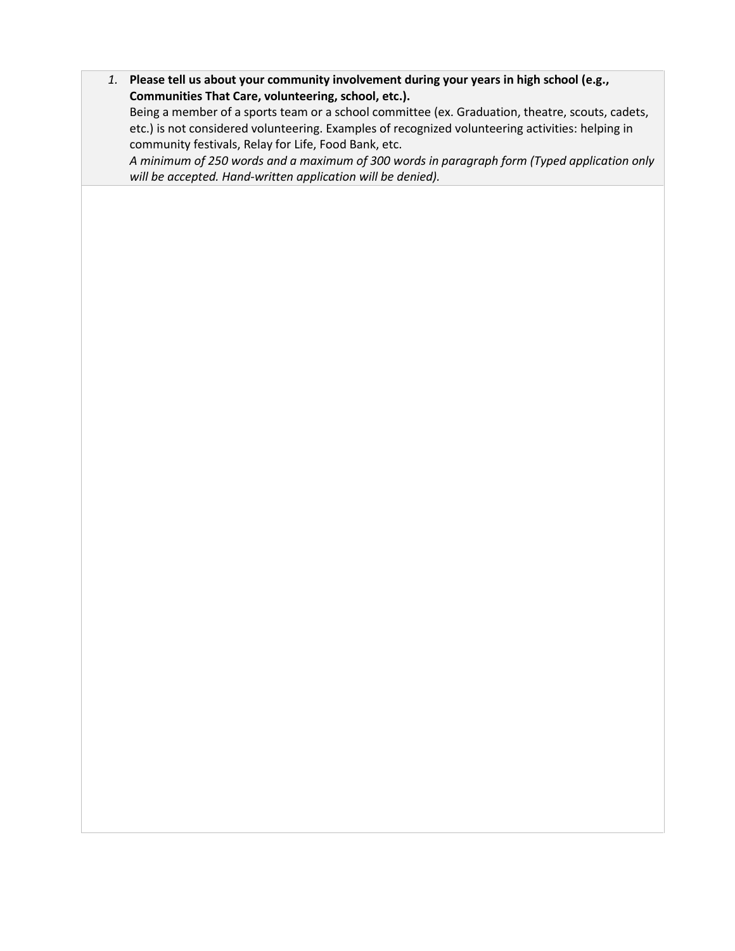*1.* **Please tell us about your community involvement during your years in high school (e.g., Communities That Care, volunteering, school, etc.).**

Being a member of a sports team or a school committee (ex. Graduation, theatre, scouts, cadets, etc.) is not considered volunteering. Examples of recognized volunteering activities: helping in community festivals, Relay for Life, Food Bank, etc.

*A minimum of 250 words and a maximum of 300 words in paragraph form (Typed application only will be accepted. Hand-written application will be denied).*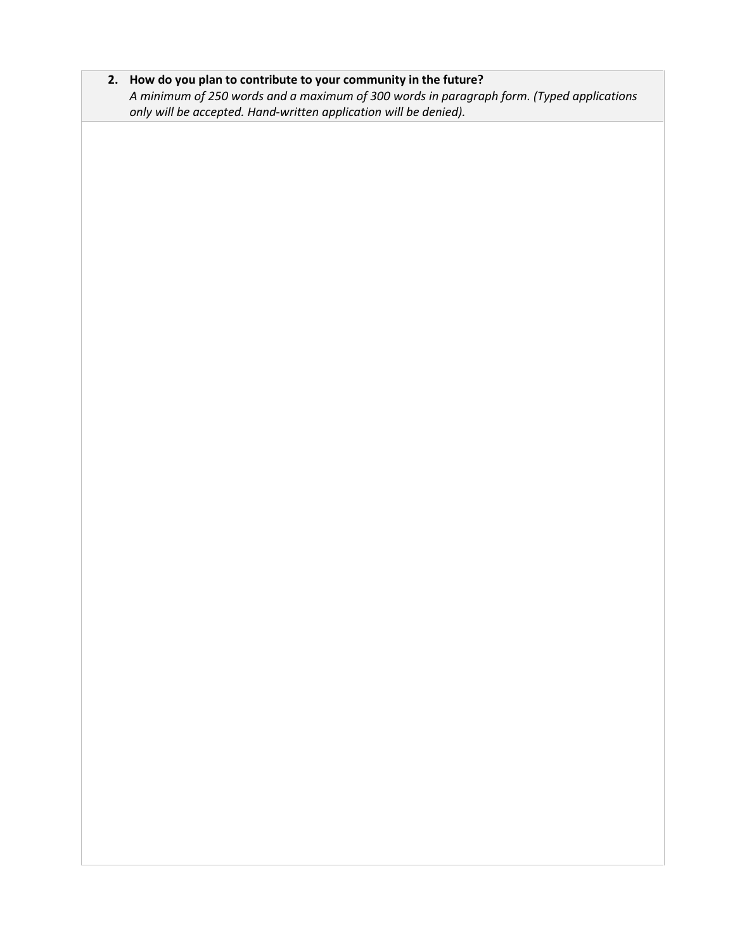**2. How do you plan to contribute to your community in the future?**  *A minimum of 250 words and a maximum of 300 words in paragraph form. (Typed applications only will be accepted. Hand-written application will be denied).*